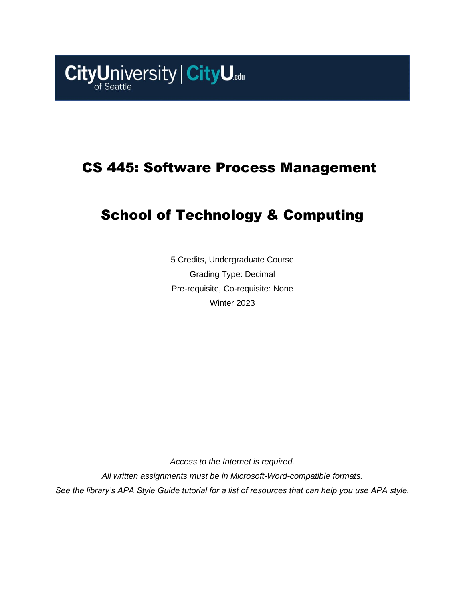

# CS 445: Software Process Management

# School of Technology & Computing

5 Credits, Undergraduate Course Grading Type: Decimal Pre-requisite, Co-requisite: None Winter 2023

*Access to the Internet is required. All written assignments must be in Microsoft-Word-compatible formats. See the library's APA Style Guide tutorial for a list of resources that can help you use APA style.*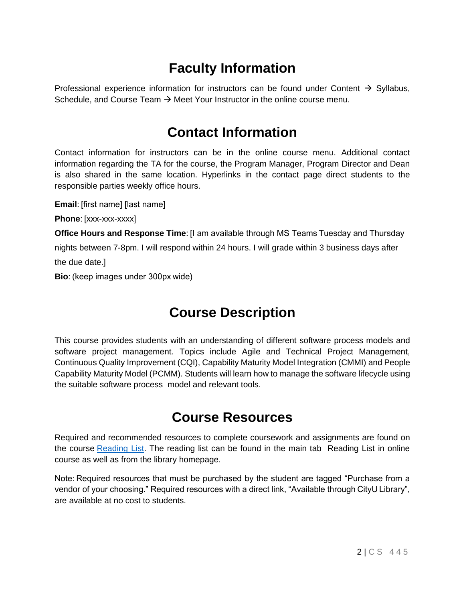# **Faculty Information**

Professional experience information for instructors can be found under Content  $\rightarrow$  Syllabus, Schedule, and Course Team  $\rightarrow$  Meet Your Instructor in the online course menu.

### **Contact Information**

Contact information for instructors can be in the online course menu. Additional contact information regarding the TA for the course, the Program Manager, Program Director and Dean is also shared in the same location. Hyperlinks in the contact page direct students to the responsible parties weekly office hours.

**Email**: [first name] [last name]

**Phone**: [xxx-xxx-xxxx]

**Office Hours and Response Time**: [I am available through MS Teams Tuesday and Thursday

nights between 7-8pm. I will respond within 24 hours. I will grade within 3 business days after the due date.]

**Bio**: (keep images under 300px wide)

## **Course Description**

This course provides students with an understanding of different software process models and software project management. Topics include Agile and Technical Project Management, Continuous Quality Improvement (CQI), Capability Maturity Model Integration (CMMI) and People Capability Maturity Model (PCMM). Students will learn how to manage the software lifecycle using the suitable software process model and relevant tools.

## **Course Resources**

Required and recommended resources to complete coursework and assignments are found on the course [Reading List.](https://nam11.safelinks.protection.outlook.com/?url=https%3A%2F%2Fcityu.alma.exlibrisgroup.com%2Fleganto%2Flogin%3Fauth%3DSAML&data=04%7C01%7Ckhamesipourali%40cityu.edu%7C741ea0bde0d547ab50e008d90c379e4f%7Cb3fa96d9f5154662add763d854e39e63%7C1%7C0%7C637554255311940047%7CUnknown%7CTWFpbGZsb3d8eyJWIjoiMC4wLjAwMDAiLCJQIjoiV2luMzIiLCJBTiI6Ik1haWwiLCJXVCI6Mn0%3D%7C1000&sdata=Lu5rS0ucJwDgi3kUIanENkGamxIYgiWw%2BRq%2FxyxrXm8%3D&reserved=0) The reading list can be found in the main tab Reading List in online course as well as from the library homepage.

Note: Required resources that must be purchased by the student are tagged "Purchase from a vendor of your choosing." Required resources with a direct link, "Available through CityU Library", are available at no cost to students.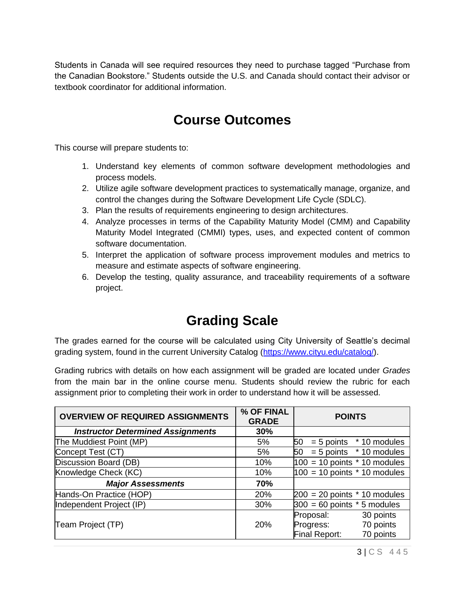Students in Canada will see required resources they need to purchase tagged "Purchase from the Canadian Bookstore." Students outside the U.S. and Canada should contact their advisor or textbook coordinator for additional information.

## **Course Outcomes**

This course will prepare students to:

- 1. Understand key elements of common software development methodologies and process models.
- 2. Utilize agile software development practices to systematically manage, organize, and control the changes during the Software Development Life Cycle (SDLC).
- 3. Plan the results of requirements engineering to design architectures.
- 4. Analyze processes in terms of the Capability Maturity Model (CMM) and Capability Maturity Model Integrated (CMMI) types, uses, and expected content of common software documentation.
- 5. Interpret the application of software process improvement modules and metrics to measure and estimate aspects of software engineering.
- 6. Develop the testing, quality assurance, and traceability requirements of a software project.

## **Grading Scale**

The grades earned for the course will be calculated using City University of Seattle's decimal grading system, found in the current University Catalog [\(https://www.cityu.edu/catalog/\)](https://www.cityu.edu/catalog/).

Grading rubrics with details on how each assignment will be graded are located under *Grades* from the main bar in the online course menu. Students should review the rubric for each assignment prior to completing their work in order to understand how it will be assessed.

| <b>OVERVIEW OF REQUIRED ASSIGNMENTS</b>  | % OF FINAL<br><b>GRADE</b> | <b>POINTS</b>                     |  |
|------------------------------------------|----------------------------|-----------------------------------|--|
| <b>Instructor Determined Assignments</b> | 30%                        |                                   |  |
| The Muddiest Point (MP)                  | 5%                         | 50<br>$= 5$ points $*$ 10 modules |  |
| Concept Test (CT)                        | 5%                         | $= 5$ points $*$ 10 modules<br>50 |  |
| Discussion Board (DB)                    | 10%                        | $100 = 10$ points $*$ 10 modules  |  |
| Knowledge Check (KC)                     | 10%                        | $100 = 10$ points $*$ 10 modules  |  |
| <b>Major Assessments</b>                 | 70%                        |                                   |  |
| Hands-On Practice (HOP)                  | 20%                        | $200 = 20$ points $*$ 10 modules  |  |
| Independent Project (IP)                 | 30%                        | $300 = 60$ points $*$ 5 modules   |  |
|                                          |                            | 30 points<br>Proposal:            |  |
| Team Project (TP)                        | <b>20%</b>                 | 70 points<br>Progress:            |  |
|                                          |                            | Final Report:<br>70 points        |  |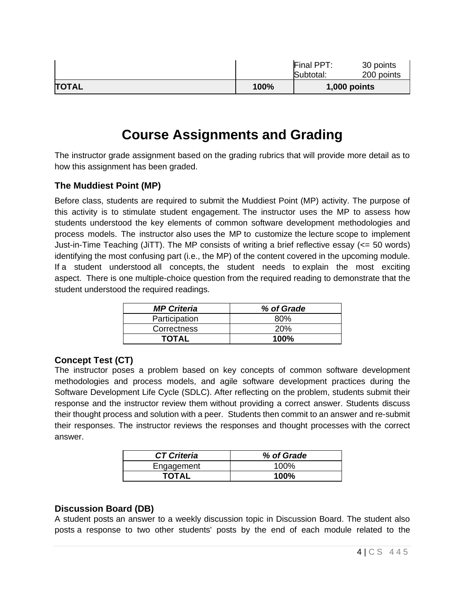|              |      | Final PPT:<br>Subtotal: | 30 points<br>200 points |
|--------------|------|-------------------------|-------------------------|
| <b>TOTAL</b> | 100% |                         | $1,000$ points          |

# **Course Assignments and Grading**

The instructor grade assignment based on the grading rubrics that will provide more detail as to how this assignment has been graded.

### **The Muddiest Point (MP)**

Before class, students are required to submit the Muddiest Point (MP) activity. The purpose of this activity is to stimulate student engagement. The instructor uses the MP to assess how students understood the key elements of common software development methodologies and process models. The instructor also uses the MP to customize the lecture scope to implement Just-in-Time Teaching (JiTT). The MP consists of writing a brief reflective essay (<= 50 words) identifying the most confusing part (i.e., the MP) of the content covered in the upcoming module. If a student understood all concepts, the student needs to explain the most exciting aspect. There is one multiple-choice question from the required reading to demonstrate that the student understood the required readings.

| <b>MP Criteria</b> | % of Grade |
|--------------------|------------|
| Participation      | 80%        |
| Correctness        | 20%        |
| TOTAL              | $100\%$    |

### **Concept Test (CT)**

The instructor poses a problem based on key concepts of common software development methodologies and process models, and agile software development practices during the Software Development Life Cycle (SDLC). After reflecting on the problem, students submit their response and the instructor review them without providing a correct answer. Students discuss their thought process and solution with a peer. Students then commit to an answer and re-submit their responses. The instructor reviews the responses and thought processes with the correct answer.

| <b>CT Criteria</b> | % of Grade  |
|--------------------|-------------|
| Engagement         | 100%        |
| <b>TOTAL</b>       | <b>100%</b> |

### **Discussion Board (DB)**

A student posts an answer to a weekly discussion topic in Discussion Board. The student also posts a response to two other students' posts by the end of each module related to the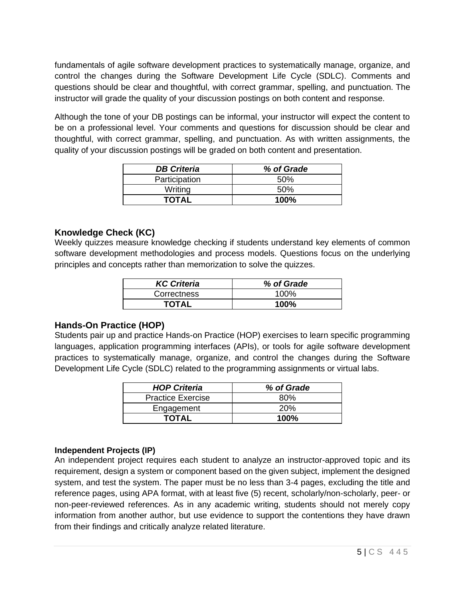fundamentals of agile software development practices to systematically manage, organize, and control the changes during the Software Development Life Cycle (SDLC). Comments and questions should be clear and thoughtful, with correct grammar, spelling, and punctuation. The instructor will grade the quality of your discussion postings on both content and response.

Although the tone of your DB postings can be informal, your instructor will expect the content to be on a professional level. Your comments and questions for discussion should be clear and thoughtful, with correct grammar, spelling, and punctuation. As with written assignments, the quality of your discussion postings will be graded on both content and presentation.

| <b>DB Criteria</b> | % of Grade |
|--------------------|------------|
| Participation      | .50%       |
| Writing            | .50%       |
| <b>TOTAL</b>       | 100%       |

### **Knowledge Check (KC)**

Weekly quizzes measure knowledge checking if students understand key elements of common software development methodologies and process models. Questions focus on the underlying principles and concepts rather than memorization to solve the quizzes.

| <b>KC Criteria</b> | % of Grade |
|--------------------|------------|
| Correctness        | 100%       |
| <b>TOTAL</b>       | 100%       |

### **Hands-On Practice (HOP)**

Students pair up and practice Hands-on Practice (HOP) exercises to learn specific programming languages, application programming interfaces (APIs), or tools for agile software development practices to systematically manage, organize, and control the changes during the Software Development Life Cycle (SDLC) related to the programming assignments or virtual labs.

| <b>HOP Criteria</b>      | % of Grade |
|--------------------------|------------|
| <b>Practice Exercise</b> | 80%        |
| Engagement               | 20%        |
| TOTAL                    | $100\%$    |

### **Independent Projects (IP)**

An independent project requires each student to analyze an instructor-approved topic and its requirement, design a system or component based on the given subject, implement the designed system, and test the system. The paper must be no less than 3-4 pages, excluding the title and reference pages, using APA format, with at least five (5) recent, scholarly/non-scholarly, peer- or non-peer-reviewed references. As in any academic writing, students should not merely copy information from another author, but use evidence to support the contentions they have drawn from their findings and critically analyze related literature.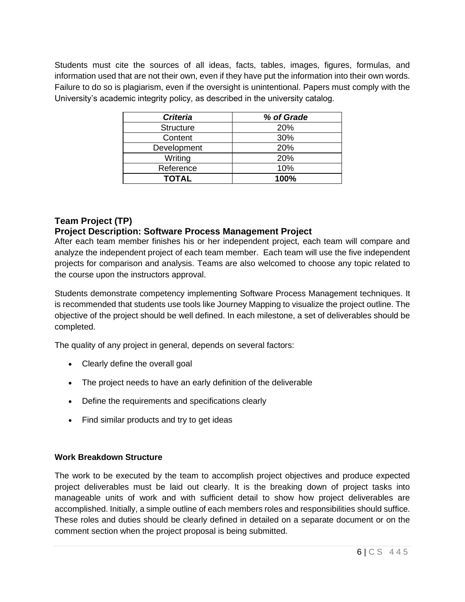Students must cite the sources of all ideas, facts, tables, images, figures, formulas, and information used that are not their own, even if they have put the information into their own words. Failure to do so is plagiarism, even if the oversight is unintentional. Papers must comply with the University's academic integrity policy, as described in the university catalog.

| <b>Criteria</b>  | % of Grade |
|------------------|------------|
| <b>Structure</b> | 20%        |
| Content          | 30%        |
| Development      | 20%        |
| Writing          | 20%        |
| Reference        | 10%        |
| <b>TOTAL</b>     | 100%       |

### **Team Project (TP)**

### **Project Description: Software Process Management Project**

After each team member finishes his or her independent project, each team will compare and analyze the independent project of each team member. Each team will use the five independent projects for comparison and analysis. Teams are also welcomed to choose any topic related to the course upon the instructors approval.

Students demonstrate competency implementing Software Process Management techniques. It is recommended that students use tools like Journey Mapping to visualize the project outline. The objective of the project should be well defined. In each milestone, a set of deliverables should be completed.

The quality of any project in general, depends on several factors:

- Clearly define the overall goal
- The project needs to have an early definition of the deliverable
- Define the requirements and specifications clearly
- Find similar products and try to get ideas

### **Work Breakdown Structure**

The work to be executed by the team to accomplish project objectives and produce expected project deliverables must be laid out clearly. It is the breaking down of project tasks into manageable units of work and with sufficient detail to show how project deliverables are accomplished. Initially, a simple outline of each members roles and responsibilities should suffice. These roles and duties should be clearly defined in detailed on a separate document or on the comment section when the project proposal is being submitted.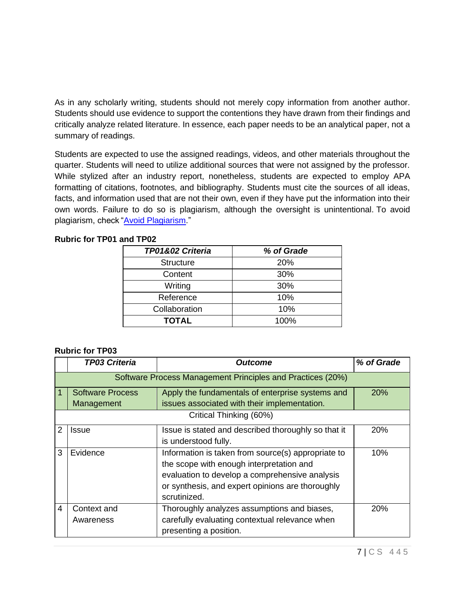As in any scholarly writing, students should not merely copy information from another author. Students should use evidence to support the contentions they have drawn from their findings and critically analyze related literature. In essence, each paper needs to be an analytical paper, not a summary of readings.

Students are expected to use the assigned readings, videos, and other materials throughout the quarter. Students will need to utilize additional sources that were not assigned by the professor. While stylized after an industry report, nonetheless, students are expected to employ APA formatting of citations, footnotes, and bibliography. Students must cite the sources of all ideas, facts, and information used that are not their own, even if they have put the information into their own words. Failure to do so is plagiarism, although the oversight is unintentional. To avoid plagiarism, check ["Avoid Plagiarism.](https://library.cityu.edu/howto/apa-writing/avoid-plagiarism/)"

#### **Rubric for TP01 and TP02**

| TP01&02 Criteria | % of Grade |
|------------------|------------|
| <b>Structure</b> | 20%        |
| Content          | 30%        |
| Writing          | 30%        |
| Reference        | 10%        |
| Collaboration    | 10%        |
| <b>TOTAL</b>     | 100%       |

#### **Rubric for TP03**

|                | <b>TP03 Criteria</b>                                       | <b>Outcome</b>                                      | % of Grade |
|----------------|------------------------------------------------------------|-----------------------------------------------------|------------|
|                | Software Process Management Principles and Practices (20%) |                                                     |            |
|                | <b>Software Process</b>                                    | Apply the fundamentals of enterprise systems and    | <b>20%</b> |
|                | Management                                                 | issues associated with their implementation.        |            |
|                | Critical Thinking (60%)                                    |                                                     |            |
| 2              | Issue                                                      | Issue is stated and described thoroughly so that it | 20%        |
|                |                                                            | is understood fully.                                |            |
| 3              | Evidence                                                   | Information is taken from source(s) appropriate to  | 10%        |
|                |                                                            | the scope with enough interpretation and            |            |
|                | evaluation to develop a comprehensive analysis             |                                                     |            |
|                | or synthesis, and expert opinions are thoroughly           |                                                     |            |
|                |                                                            | scrutinized.                                        |            |
| $\overline{4}$ | Context and                                                | Thoroughly analyzes assumptions and biases,         | 20%        |
|                | Awareness                                                  | carefully evaluating contextual relevance when      |            |
|                |                                                            | presenting a position.                              |            |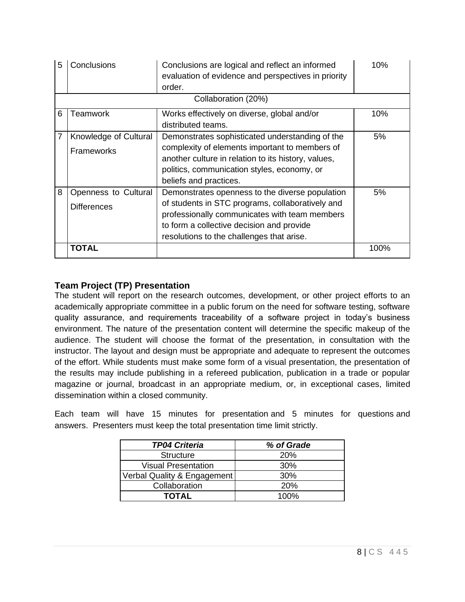| 5 | Conclusions                                | Conclusions are logical and reflect an informed<br>evaluation of evidence and perspectives in priority<br>order.                                                                                                                               | 10%  |
|---|--------------------------------------------|------------------------------------------------------------------------------------------------------------------------------------------------------------------------------------------------------------------------------------------------|------|
|   |                                            | Collaboration (20%)                                                                                                                                                                                                                            |      |
| 6 | <b>Teamwork</b>                            | Works effectively on diverse, global and/or<br>distributed teams.                                                                                                                                                                              | 10%  |
| 7 | Knowledge of Cultural<br>Frameworks        | Demonstrates sophisticated understanding of the<br>complexity of elements important to members of<br>another culture in relation to its history, values,<br>politics, communication styles, economy, or<br>beliefs and practices.              | 5%   |
| 8 | Openness to Cultural<br><b>Differences</b> | Demonstrates openness to the diverse population<br>of students in STC programs, collaboratively and<br>professionally communicates with team members<br>to form a collective decision and provide<br>resolutions to the challenges that arise. | 5%   |
|   | TOTAL                                      |                                                                                                                                                                                                                                                | 100% |

### **Team Project (TP) Presentation**

The student will report on the research outcomes, development, or other project efforts to an academically appropriate committee in a public forum on the need for software testing, software quality assurance, and requirements traceability of a software project in today's business environment. The nature of the presentation content will determine the specific makeup of the audience. The student will choose the format of the presentation, in consultation with the instructor. The layout and design must be appropriate and adequate to represent the outcomes of the effort. While students must make some form of a visual presentation, the presentation of the results may include publishing in a refereed publication, publication in a trade or popular magazine or journal, broadcast in an appropriate medium, or, in exceptional cases, limited dissemination within a closed community.

Each team will have 15 minutes for presentation and 5 minutes for questions and answers. Presenters must keep the total presentation time limit strictly.

| <b>TP04 Criteria</b>        | % of Grade |
|-----------------------------|------------|
| <b>Structure</b>            | <b>20%</b> |
| <b>Visual Presentation</b>  | 30%        |
| Verbal Quality & Engagement | 30%        |
| Collaboration               | <b>20%</b> |
| <b>TOTAL</b>                | 100%       |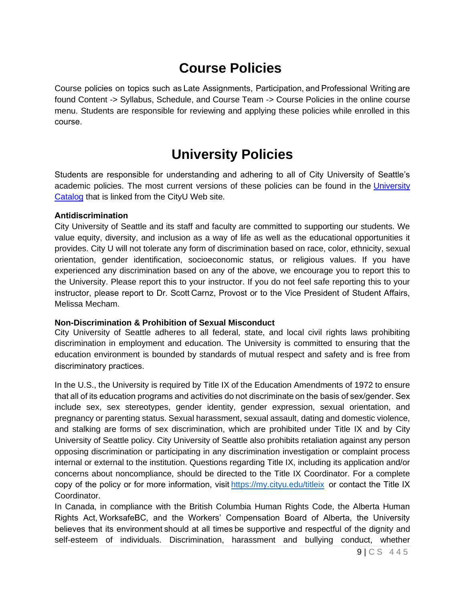## **Course Policies**

Course policies on topics such as Late Assignments, Participation, and Professional Writing are found Content -> Syllabus, Schedule, and Course Team -> Course Policies in the online course menu. Students are responsible for reviewing and applying these policies while enrolled in this course. 

# **University Policies**

Students are responsible for understanding and adhering to all of City University of Seattle's academic policies. The most current versions of these policies can be found in the [University](http://www.cityu.edu/catalog/)  [Catalog](http://www.cityu.edu/catalog/) that is linked from the CityU Web site.

#### **Antidiscrimination**

City University of Seattle and its staff and faculty are committed to supporting our students. We value equity, diversity, and inclusion as a way of life as well as the educational opportunities it provides. City U will not tolerate any form of discrimination based on race, color, ethnicity, sexual orientation, gender identification, socioeconomic status, or religious values. If you have experienced any discrimination based on any of the above, we encourage you to report this to the University. Please report this to your instructor. If you do not feel safe reporting this to your instructor, please report to Dr. Scott Carnz, Provost or to the Vice President of Student Affairs, Melissa Mecham.

### **Non-Discrimination & Prohibition of Sexual Misconduct**

City University of Seattle adheres to all federal, state, and local civil rights laws prohibiting discrimination in employment and education. The University is committed to ensuring that the education environment is bounded by standards of mutual respect and safety and is free from discriminatory practices. 

In the U.S., the University is required by Title IX of the Education Amendments of 1972 to ensure that all of its education programs and activities do not discriminate on the basis of sex/gender. Sex include sex, sex stereotypes, gender identity, gender expression, sexual orientation, and pregnancy or parenting status. Sexual harassment, sexual assault, dating and domestic violence, and stalking are forms of sex discrimination, which are prohibited under Title IX and by City University of Seattle policy. City University of Seattle also prohibits retaliation against any person opposing discrimination or participating in any discrimination investigation or complaint process internal or external to the institution. Questions regarding Title IX, including its application and/or concerns about noncompliance, should be directed to the Title IX Coordinator. For a complete copy of the policy or for more information, visit https://my.cityu.edu/titleix or contact the Title IX Coordinator.

In Canada, in compliance with the British Columbia Human Rights Code, the Alberta Human Rights Act, WorksafeBC, and the Workers' Compensation Board of Alberta, the University believes that its environment should at all times be supportive and respectful of the dignity and self-esteem of individuals. Discrimination, harassment and bullying conduct, whether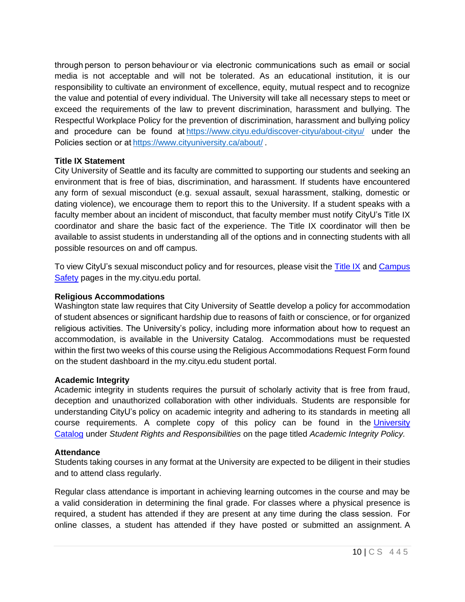through person to person behaviour or via electronic communications such as email or social media is not acceptable and will not be tolerated. As an educational institution, it is our responsibility to cultivate an environment of excellence, equity, mutual respect and to recognize the value and potential of every individual. The University will take all necessary steps to meet or exceed the requirements of the law to prevent discrimination, harassment and bullying. The Respectful Workplace Policy for the prevention of discrimination, harassment and bullying policy and procedure can be found a[t https://www.cityu.edu/discover-cityu/about-cityu/](https://nam11.safelinks.protection.outlook.com/?url=https%3A%2F%2Fwww.cityu.edu%2Fdiscover-cityu%2Fabout-cityu%2F&data=04%7C01%7Ckhamesipourali%40cityu.edu%7C741ea0bde0d547ab50e008d90c379e4f%7Cb3fa96d9f5154662add763d854e39e63%7C1%7C0%7C637554255311950002%7CUnknown%7CTWFpbGZsb3d8eyJWIjoiMC4wLjAwMDAiLCJQIjoiV2luMzIiLCJBTiI6Ik1haWwiLCJXVCI6Mn0%3D%7C1000&sdata=Vn%2FpStd1%2FY%2Fm1qmuPrAzLwlWNrhM4m9%2Bfo6WUhHeHFs%3D&reserved=0) under the Policies section or at[https://www.cityuniversity.ca/about/ .](https://nam11.safelinks.protection.outlook.com/?url=https%3A%2F%2Fwww.cityuniversity.ca%2Fabout%2F&data=04%7C01%7Ckhamesipourali%40cityu.edu%7C741ea0bde0d547ab50e008d90c379e4f%7Cb3fa96d9f5154662add763d854e39e63%7C1%7C0%7C637554255311950002%7CUnknown%7CTWFpbGZsb3d8eyJWIjoiMC4wLjAwMDAiLCJQIjoiV2luMzIiLCJBTiI6Ik1haWwiLCJXVCI6Mn0%3D%7C1000&sdata=38Xgn6Hz8hLjq2SAEqihnpAzx5VQSAKnoCO70lDSKdQ%3D&reserved=0) 

#### **Title IX Statement**

City University of Seattle and its faculty are committed to supporting our students and seeking an environment that is free of bias, discrimination, and harassment. If students have encountered any form of sexual misconduct (e.g. sexual assault, sexual harassment, stalking, domestic or dating violence), we encourage them to report this to the University. If a student speaks with a faculty member about an incident of misconduct, that faculty member must notify CityU's Title IX coordinator and share the basic fact of the experience. The Title IX coordinator will then be available to assist students in understanding all of the options and in connecting students with all possible resources on and off campus.

To view CityU's sexual misconduct policy and for resources, please visit the [Title IX](https://my.cityu.edu/titleix/) and Campus [Safety](https://my.cityu.edu/department/campus-safety/) pages in the my.cityu.edu portal.

#### **Religious Accommodations**

Washington state law requires that City University of Seattle develop a policy for accommodation of student absences or significant hardship due to reasons of faith or conscience, or for organized religious activities. The University's policy, including more information about how to request an accommodation, is available in the University Catalog. Accommodations must be requested within the first two weeks of this course using the Religious Accommodations Request Form found on the student dashboard in the my.cityu.edu student portal.

#### **Academic Integrity**

Academic integrity in students requires the pursuit of scholarly activity that is free from fraud, deception and unauthorized collaboration with other individuals. Students are responsible for understanding CityU's policy on academic integrity and adhering to its standards in meeting all course requirements. A complete copy of this policy can be found in the [University](http://www.cityu.edu/catalog/)  [Catalog](http://www.cityu.edu/catalog/) under *Student Rights and Responsibilities* on the page titled *Academic Integrity Policy.*

#### **Attendance**

Students taking courses in any format at the University are expected to be diligent in their studies and to attend class regularly.

Regular class attendance is important in achieving learning outcomes in the course and may be a valid consideration in determining the final grade. For classes where a physical presence is required, a student has attended if they are present at any time during the class session.  For online classes, a student has attended if they have posted or submitted an assignment. A